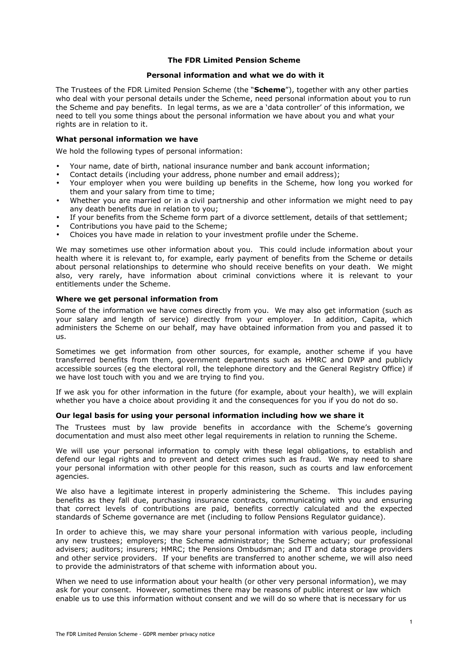### **The FDR Limited Pension Scheme**

#### **Personal information and what we do with it**

The Trustees of the FDR Limited Pension Scheme (the "**Scheme**"), together with any other parties who deal with your personal details under the Scheme, need personal information about you to run the Scheme and pay benefits. In legal terms, as we are a 'data controller' of this information, we need to tell you some things about the personal information we have about you and what your rights are in relation to it.

### **What personal information we have**

We hold the following types of personal information:

- Your name, date of birth, national insurance number and bank account information;
- Contact details (including your address, phone number and email address);
- Your employer when you were building up benefits in the Scheme, how long you worked for them and your salary from time to time;
- Whether you are married or in a civil partnership and other information we might need to pay any death benefits due in relation to you;
- If your benefits from the Scheme form part of a divorce settlement, details of that settlement;
- Contributions you have paid to the Scheme;
- Choices you have made in relation to your investment profile under the Scheme.

We may sometimes use other information about you. This could include information about your health where it is relevant to, for example, early payment of benefits from the Scheme or details about personal relationships to determine who should receive benefits on your death. We might also, very rarely, have information about criminal convictions where it is relevant to your entitlements under the Scheme.

### **Where we get personal information from**

Some of the information we have comes directly from you. We may also get information (such as your salary and length of service) directly from your employer. In addition, Capita, which administers the Scheme on our behalf, may have obtained information from you and passed it to us.

Sometimes we get information from other sources, for example, another scheme if you have transferred benefits from them, government departments such as HMRC and DWP and publicly accessible sources (eg the electoral roll, the telephone directory and the General Registry Office) if we have lost touch with you and we are trying to find you.

If we ask you for other information in the future (for example, about your health), we will explain whether you have a choice about providing it and the consequences for you if you do not do so.

#### **Our legal basis for using your personal information including how we share it**

The Trustees must by law provide benefits in accordance with the Scheme's governing documentation and must also meet other legal requirements in relation to running the Scheme.

We will use your personal information to comply with these legal obligations, to establish and defend our legal rights and to prevent and detect crimes such as fraud. We may need to share your personal information with other people for this reason, such as courts and law enforcement agencies.

We also have a legitimate interest in properly administering the Scheme. This includes paying benefits as they fall due, purchasing insurance contracts, communicating with you and ensuring that correct levels of contributions are paid, benefits correctly calculated and the expected standards of Scheme governance are met (including to follow Pensions Regulator guidance).

In order to achieve this, we may share your personal information with various people, including any new trustees; employers; the Scheme administrator; the Scheme actuary; our professional advisers; auditors; insurers; HMRC; the Pensions Ombudsman; and IT and data storage providers and other service providers. If your benefits are transferred to another scheme, we will also need to provide the administrators of that scheme with information about you.

When we need to use information about your health (or other very personal information), we may ask for your consent. However, sometimes there may be reasons of public interest or law which enable us to use this information without consent and we will do so where that is necessary for us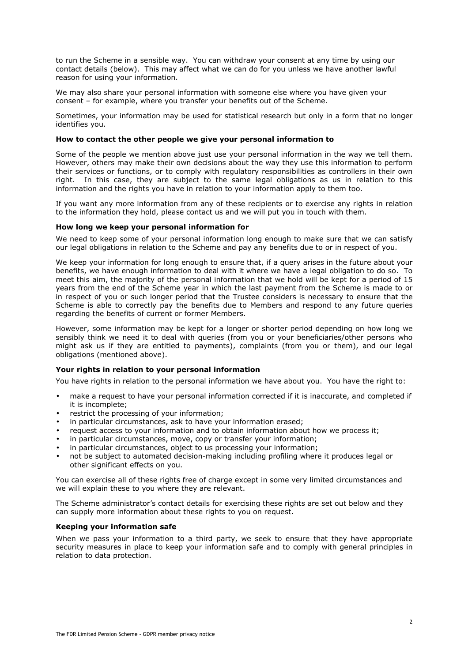to run the Scheme in a sensible way. You can withdraw your consent at any time by using our contact details (below). This may affect what we can do for you unless we have another lawful reason for using your information.

We may also share your personal information with someone else where you have given your consent – for example, where you transfer your benefits out of the Scheme.

Sometimes, your information may be used for statistical research but only in a form that no longer identifies you.

## **How to contact the other people we give your personal information to**

Some of the people we mention above just use your personal information in the way we tell them. However, others may make their own decisions about the way they use this information to perform their services or functions, or to comply with regulatory responsibilities as controllers in their own right. In this case, they are subject to the same legal obligations as us in relation to this information and the rights you have in relation to your information apply to them too.

If you want any more information from any of these recipients or to exercise any rights in relation to the information they hold, please contact us and we will put you in touch with them.

## **How long we keep your personal information for**

We need to keep some of your personal information long enough to make sure that we can satisfy our legal obligations in relation to the Scheme and pay any benefits due to or in respect of you.

We keep your information for long enough to ensure that, if a query arises in the future about your benefits, we have enough information to deal with it where we have a legal obligation to do so. To meet this aim, the majority of the personal information that we hold will be kept for a period of 15 years from the end of the Scheme year in which the last payment from the Scheme is made to or in respect of you or such longer period that the Trustee considers is necessary to ensure that the Scheme is able to correctly pay the benefits due to Members and respond to any future queries regarding the benefits of current or former Members.

However, some information may be kept for a longer or shorter period depending on how long we sensibly think we need it to deal with queries (from you or your beneficiaries/other persons who might ask us if they are entitled to payments), complaints (from you or them), and our legal obligations (mentioned above).

## **Your rights in relation to your personal information**

You have rights in relation to the personal information we have about you. You have the right to:

- make a request to have your personal information corrected if it is inaccurate, and completed if it is incomplete;
- restrict the processing of your information;
- in particular circumstances, ask to have your information erased;
- request access to your information and to obtain information about how we process it;
- in particular circumstances, move, copy or transfer your information;
- in particular circumstances, object to us processing your information;
- not be subject to automated decision-making including profiling where it produces legal or other significant effects on you.

You can exercise all of these rights free of charge except in some very limited circumstances and we will explain these to you where they are relevant.

The Scheme administrator's contact details for exercising these rights are set out below and they can supply more information about these rights to you on request.

#### **Keeping your information safe**

When we pass your information to a third party, we seek to ensure that they have appropriate security measures in place to keep your information safe and to comply with general principles in relation to data protection.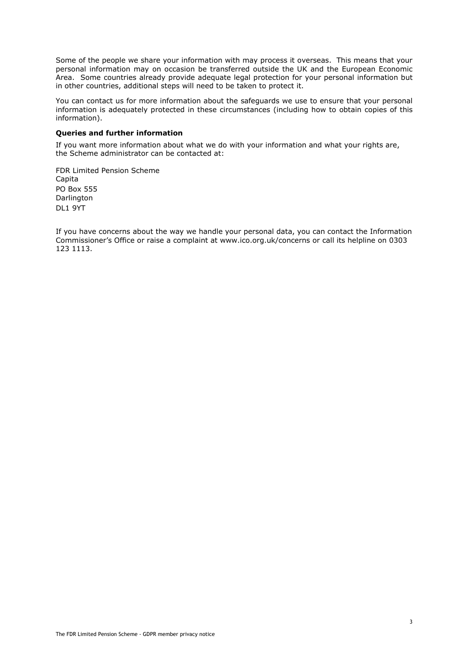Some of the people we share your information with may process it overseas. This means that your personal information may on occasion be transferred outside the UK and the European Economic Area. Some countries already provide adequate legal protection for your personal information but in other countries, additional steps will need to be taken to protect it.

You can contact us for more information about the safeguards we use to ensure that your personal information is adequately protected in these circumstances (including how to obtain copies of this information).

# **Queries and further information**

If you want more information about what we do with your information and what your rights are, the Scheme administrator can be contacted at:

FDR Limited Pension Scheme Capita PO Box 555 Darlington DL1 9YT

If you have concerns about the way we handle your personal data, you can contact the Information Commissioner's Office or raise a complaint at www.ico.org.uk/concerns or call its helpline on 0303 123 1113.